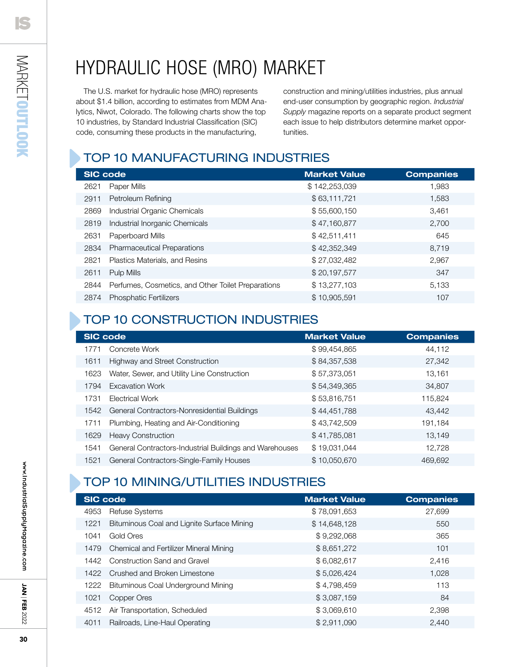## Hydraulic hose (MRO) market

The U.S. market for hydraulic hose (MRO) represents about \$1.4 billion, according to estimates from MDM Analytics, Niwot, Colorado. The following charts show the top 10 industries, by Standard Industrial Classification (SIC) code, consuming these products in the manufacturing,

construction and mining/utilities industries, plus annual end-user consumption by geographic region. *Industrial Supply* magazine reports on a separate product segment each issue to help distributors determine market opportunities.

### Top 10 MANUFACTURING Industries

| <b>SIC code</b> |                                                    | <b>Market Value</b> | <b>Companies</b> |
|-----------------|----------------------------------------------------|---------------------|------------------|
| 2621            | Paper Mills                                        | \$142,253,039       | 1,983            |
| 2911            | Petroleum Refining                                 | \$63,111,721        | 1,583            |
| 2869            | Industrial Organic Chemicals                       | \$55,600,150        | 3,461            |
| 2819            | Industrial Inorganic Chemicals                     | \$47,160,877        | 2,700            |
| 2631            | Paperboard Mills                                   | \$42,511,411        | 645              |
| 2834            | <b>Pharmaceutical Preparations</b>                 | \$42,352,349        | 8,719            |
| 2821            | Plastics Materials, and Resins                     | \$27,032,482        | 2,967            |
| 2611            | Pulp Mills                                         | \$20,197,577        | 347              |
| 2844            | Perfumes, Cosmetics, and Other Toilet Preparations | \$13,277,103        | 5,133            |
| 2874            | <b>Phosphatic Fertilizers</b>                      | \$10,905,591        | 107              |

### Top 10 CONSTRUCTION Industries

| <b>SIC code</b>                                                 | <b>Market Value</b> | <b>Companies</b> |
|-----------------------------------------------------------------|---------------------|------------------|
| Concrete Work<br>1771                                           | \$99,454,865        | 44,112           |
| Highway and Street Construction<br>1611                         | \$84,357,538        | 27,342           |
| Water, Sewer, and Utility Line Construction<br>1623             | \$57,373,051        | 13,161           |
| <b>Excavation Work</b><br>1794                                  | \$54,349,365        | 34,807           |
| 1731<br>Electrical Work                                         | \$53,816,751        | 115,824          |
| General Contractors-Nonresidential Buildings<br>1542            | \$44,451,788        | 43,442           |
| Plumbing, Heating and Air-Conditioning<br>1711                  | \$43,742,509        | 191,184          |
| <b>Heavy Construction</b><br>1629                               | \$41,785,081        | 13,149           |
| General Contractors-Industrial Buildings and Warehouses<br>1541 | \$19,031,044        | 12.728           |
| General Contractors-Single-Family Houses<br>1521                | \$10,050,670        | 469,692          |

### Top 10 Mining/Utilities Industries

|      | <b>SIC code</b>                            | <b>Market Value</b> | <b>Companies</b> |
|------|--------------------------------------------|---------------------|------------------|
| 4953 | <b>Refuse Systems</b>                      | \$78,091,653        | 27.699           |
| 1221 | Bituminous Coal and Lignite Surface Mining | \$14,648,128        | 550              |
| 1041 | Gold Ores                                  | \$9,292,068         | 365              |
| 1479 | Chemical and Fertilizer Mineral Mining     | \$8,651,272         | 101              |
| 1442 | <b>Construction Sand and Gravel</b>        | \$6,082,617         | 2,416            |
| 1422 | Crushed and Broken Limestone               | \$5,026,424         | 1.028            |
| 1222 | Bituminous Coal Underground Mining         | \$4,798,459         | 113              |
| 1021 | Copper Ores                                | \$3,087,159         | 84               |
| 4512 | Air Transportation, Scheduled              | \$3,069,610         | 2,398            |
| 4011 | Railroads, Line-Haul Operating             | \$2,911,090         | 2,440            |